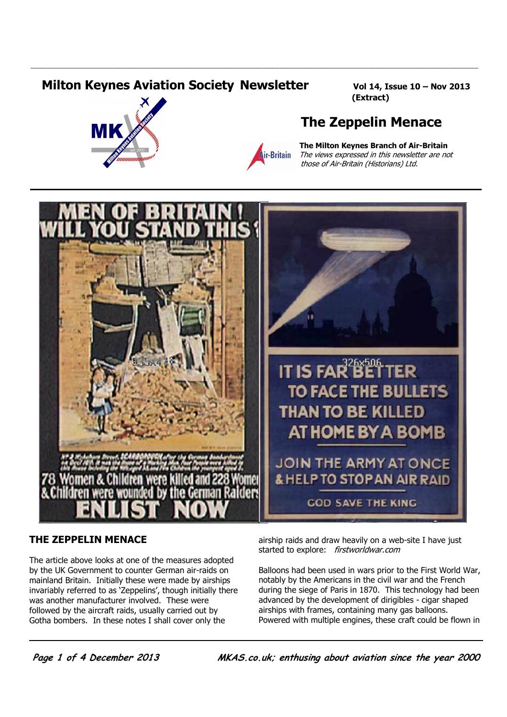## **Milton Keynes Aviation Society Newsletter Vol 14, Issue 10 - Nov 2013**





\_\_\_\_\_\_\_\_\_\_\_\_\_\_\_\_\_\_\_\_\_\_\_\_\_\_\_\_\_\_\_\_\_\_\_\_\_\_\_\_\_\_\_\_\_\_\_\_\_\_\_\_\_\_\_\_\_\_\_\_\_\_\_\_\_\_\_\_\_\_\_\_\_\_\_\_\_\_\_\_\_\_\_\_\_\_\_\_\_\_\_\_\_\_\_\_\_\_\_\_\_\_\_\_\_\_\_\_

(Extract)

## The Zeppelin Menace

*i*<br>**Air-Britain** The views expressed in this newsletter are not **Air-Britain** The views expressed in this newsletter are not those of Air-Britain (Historians) Ltd.



## THE ZEPPELIN MENACE

The article above looks at one of the measures adopted by the UK Government to counter German air-raids on mainland Britain. Initially these were made by airships invariably referred to as 'Zeppelins', though initially there was another manufacturer involved. These were followed by the aircraft raids, usually carried out by Gotha bombers. In these notes I shall cover only the

airship raids and draw heavily on a web-site I have just started to explore: firstworldwar.com

Balloons had been used in wars prior to the First World War, notably by the Americans in the civil war and the French during the siege of Paris in 1870. This technology had been advanced by the development of dirigibles - cigar shaped airships with frames, containing many gas balloons. Powered with multiple engines, these craft could be flown in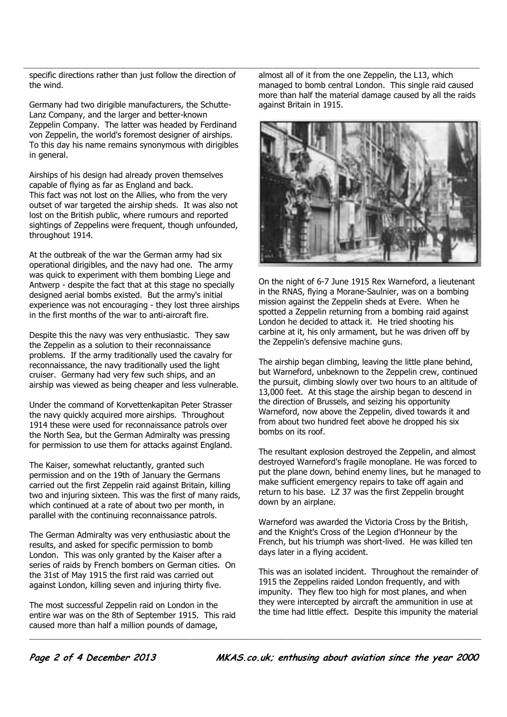the wind.

Germany had two dirigible manufacturers, the Schutte-Lanz Company, and the larger and better-known Zeppelin Company. The latter was headed by Ferdinand von Zeppelin, the world's foremost designer of airships. To this day his name remains synonymous with dirigibles in general.

Airships of his design had already proven themselves capable of flying as far as England and back. This fact was not lost on the Allies, who from the very outset of war targeted the airship sheds. It was also not lost on the British public, where rumours and reported sightings of Zeppelins were frequent, though unfounded, throughout 1914.

At the outbreak of the war the German army had six operational dirigibles, and the navy had one. The army was quick to experiment with them bombing Liege and Antwerp - despite the fact that at this stage no specially designed aerial bombs existed. But the army's initial experience was not encouraging - they lost three airships in the first months of the war to anti-aircraft fire.

Despite this the navy was very enthusiastic. They saw the Zeppelin as a solution to their reconnaissance problems. If the army traditionally used the cavalry for reconnaissance, the navy traditionally used the light cruiser. Germany had very few such ships, and an airship was viewed as being cheaper and less vulnerable.

Under the command of Korvettenkapitan Peter Strasser the navy quickly acquired more airships. Throughout 1914 these were used for reconnaissance patrols over the North Sea, but the German Admiralty was pressing for permission to use them for attacks against England.

The Kaiser, somewhat reluctantly, granted such permission and on the 19th of January the Germans carried out the first Zeppelin raid against Britain, killing two and injuring sixteen. This was the first of many raids, which continued at a rate of about two per month, in parallel with the continuing reconnaissance patrols.

The German Admiralty was very enthusiastic about the results, and asked for specific permission to bomb London. This was only granted by the Kaiser after a series of raids by French bombers on German cities. On the 31st of May 1915 the first raid was carried out against London, killing seven and injuring thirty five.

The most successful Zeppelin raid on London in the entire war was on the 8th of September 1915. This raid caused more than half a million pounds of damage,

specific directions rather than just follow the direction of almost all of it from the one Zeppelin, the L13, which almost all of it from the one Zeppelin, the L13, which managed to bomb central London. This single raid caused more than half the material damage caused by all the raids against Britain in 1915.



On the night of 6-7 June 1915 Rex Warneford, a lieutenant in the RNAS, flying a Morane-Saulnier, was on a bombing mission against the Zeppelin sheds at Evere. When he spotted a Zeppelin returning from a bombing raid against London he decided to attack it. He tried shooting his carbine at it, his only armament, but he was driven off by the Zeppelin's defensive machine guns.

The airship began climbing, leaving the little plane behind, but Warneford, unbeknown to the Zeppelin crew, continued the pursuit, climbing slowly over two hours to an altitude of 13,000 feet. At this stage the airship began to descend in the direction of Brussels, and seizing his opportunity Warneford, now above the Zeppelin, dived towards it and from about two hundred feet above he dropped his six bombs on its roof.

The resultant explosion destroyed the Zeppelin, and almost destroyed Warneford's fragile monoplane. He was forced to put the plane down, behind enemy lines, but he managed to make sufficient emergency repairs to take off again and return to his base. LZ 37 was the first Zeppelin brought down by an airplane.

Warneford was awarded the Victoria Cross by the British, and the Knight's Cross of the Legion d'Honneur by the French, but his triumph was short-lived. He was killed ten days later in a flying accident.

This was an isolated incident. Throughout the remainder of 1915 the Zeppelins raided London frequently, and with impunity. They flew too high for most planes, and when they were intercepted by aircraft the ammunition in use at the time had little effect. Despite this impunity the material

\_\_\_\_\_\_\_\_\_\_\_\_\_\_\_\_\_\_\_\_\_\_\_\_\_\_\_\_\_\_\_\_\_\_\_\_\_\_\_\_\_\_\_\_\_\_\_\_\_\_\_\_\_\_\_\_\_\_\_\_\_\_\_\_\_\_\_\_\_\_\_\_\_\_\_\_\_\_\_\_\_\_\_\_\_\_\_\_\_\_\_\_\_\_\_\_\_\_\_\_\_\_\_\_\_\_\_\_\_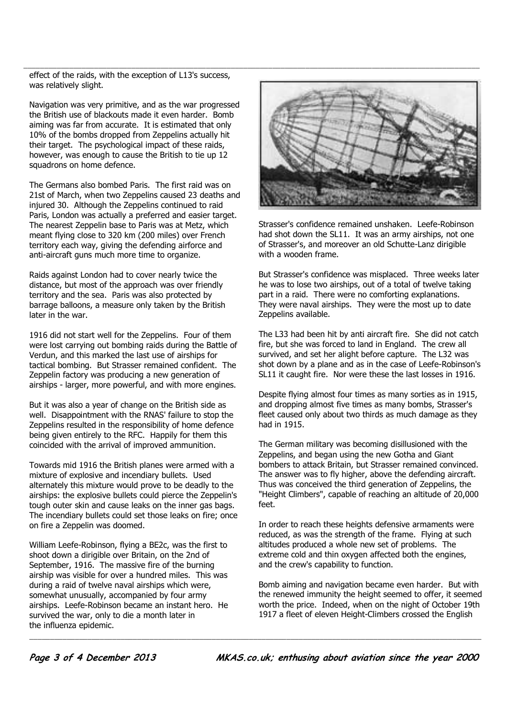effect of the raids, with the exception of L13's success, was relatively slight.

Navigation was very primitive, and as the war progressed the British use of blackouts made it even harder. Bomb aiming was far from accurate. It is estimated that only 10% of the bombs dropped from Zeppelins actually hit their target. The psychological impact of these raids, however, was enough to cause the British to tie up 12 squadrons on home defence.

The Germans also bombed Paris. The first raid was on 21st of March, when two Zeppelins caused 23 deaths and injured 30. Although the Zeppelins continued to raid Paris, London was actually a preferred and easier target. The nearest Zeppelin base to Paris was at Metz, which meant flying close to 320 km (200 miles) over French territory each way, giving the defending airforce and anti-aircraft guns much more time to organize.

Raids against London had to cover nearly twice the distance, but most of the approach was over friendly territory and the sea. Paris was also protected by barrage balloons, a measure only taken by the British later in the war.

1916 did not start well for the Zeppelins. Four of them were lost carrying out bombing raids during the Battle of Verdun, and this marked the last use of airships for tactical bombing. But Strasser remained confident. The Zeppelin factory was producing a new generation of airships - larger, more powerful, and with more engines.

But it was also a year of change on the British side as well. Disappointment with the RNAS' failure to stop the Zeppelins resulted in the responsibility of home defence being given entirely to the RFC. Happily for them this coincided with the arrival of improved ammunition.

Towards mid 1916 the British planes were armed with a mixture of explosive and incendiary bullets. Used alternately this mixture would prove to be deadly to the airships: the explosive bullets could pierce the Zeppelin's tough outer skin and cause leaks on the inner gas bags. The incendiary bullets could set those leaks on fire; once on fire a Zeppelin was doomed.

William Leefe-Robinson, flying a BE2c, was the first to shoot down a dirigible over Britain, on the 2nd of September, 1916. The massive fire of the burning airship was visible for over a hundred miles. This was during a raid of twelve naval airships which were, somewhat unusually, accompanied by four army airships. Leefe-Robinson became an instant hero. He survived the war, only to die a month later in the influenza epidemic.



Strasser's confidence remained unshaken. Leefe-Robinson had shot down the SL11. It was an army airships, not one of Strasser's, and moreover an old Schutte-Lanz dirigible with a wooden frame.

But Strasser's confidence was misplaced. Three weeks later he was to lose two airships, out of a total of twelve taking part in a raid. There were no comforting explanations. They were naval airships. They were the most up to date Zeppelins available.

The L33 had been hit by anti aircraft fire. She did not catch fire, but she was forced to land in England. The crew all survived, and set her alight before capture. The L32 was shot down by a plane and as in the case of Leefe-Robinson's SL11 it caught fire. Nor were these the last losses in 1916.

Despite flying almost four times as many sorties as in 1915, and dropping almost five times as many bombs, Strasser's fleet caused only about two thirds as much damage as they had in 1915.

The German military was becoming disillusioned with the Zeppelins, and began using the new Gotha and Giant bombers to attack Britain, but Strasser remained convinced. The answer was to fly higher, above the defending aircraft. Thus was conceived the third generation of Zeppelins, the "Height Climbers", capable of reaching an altitude of 20,000 feet.

In order to reach these heights defensive armaments were reduced, as was the strength of the frame. Flying at such altitudes produced a whole new set of problems. The extreme cold and thin oxygen affected both the engines, and the crew's capability to function.

Bomb aiming and navigation became even harder. But with the renewed immunity the height seemed to offer, it seemed worth the price. Indeed, when on the night of October 19th 1917 a fleet of eleven Height-Climbers crossed the English

\_\_\_\_\_\_\_\_\_\_\_\_\_\_\_\_\_\_\_\_\_\_\_\_\_\_\_\_\_\_\_\_\_\_\_\_\_\_\_\_\_\_\_\_\_\_\_\_\_\_\_\_\_\_\_\_\_\_\_\_\_\_\_\_\_\_\_\_\_\_\_\_\_\_\_\_\_\_\_\_\_\_\_\_\_\_\_\_\_\_\_\_\_\_\_\_\_\_\_\_\_\_\_\_\_\_\_\_\_